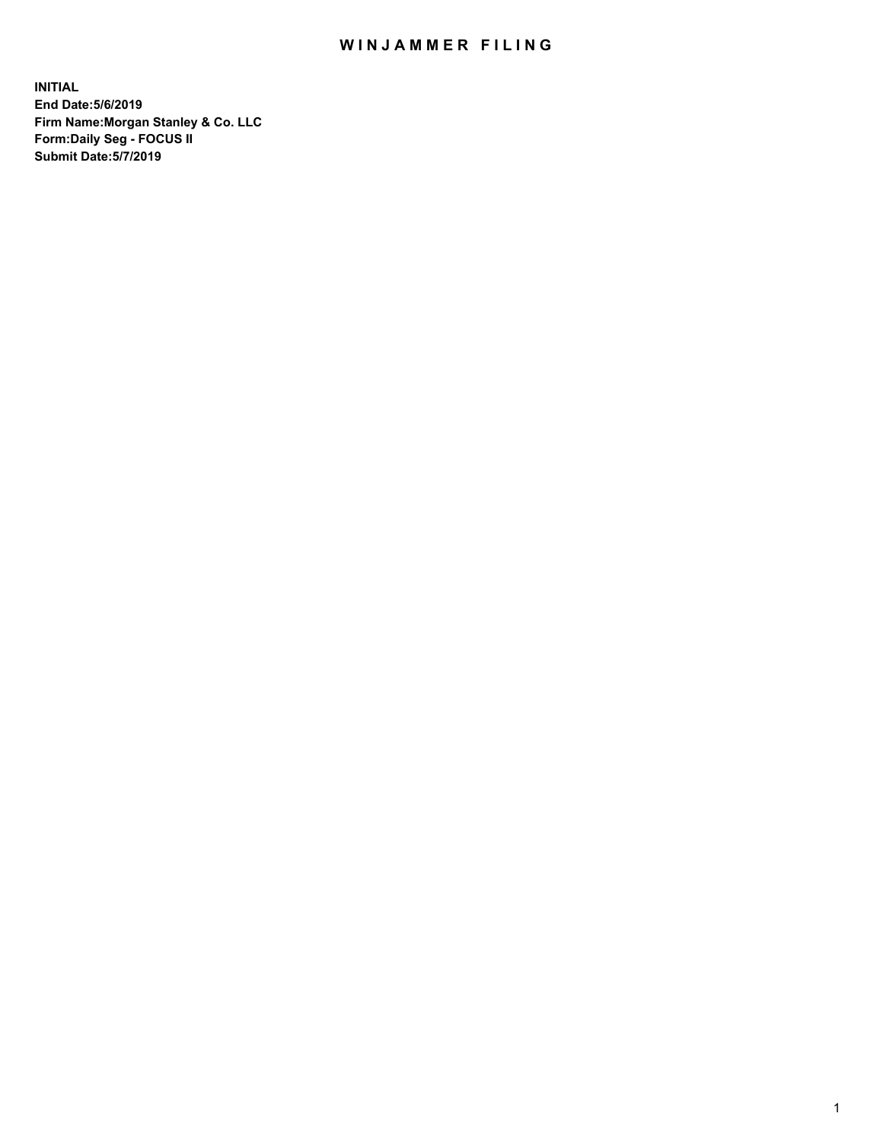## WIN JAMMER FILING

**INITIAL End Date:5/6/2019 Firm Name:Morgan Stanley & Co. LLC Form:Daily Seg - FOCUS II Submit Date:5/7/2019**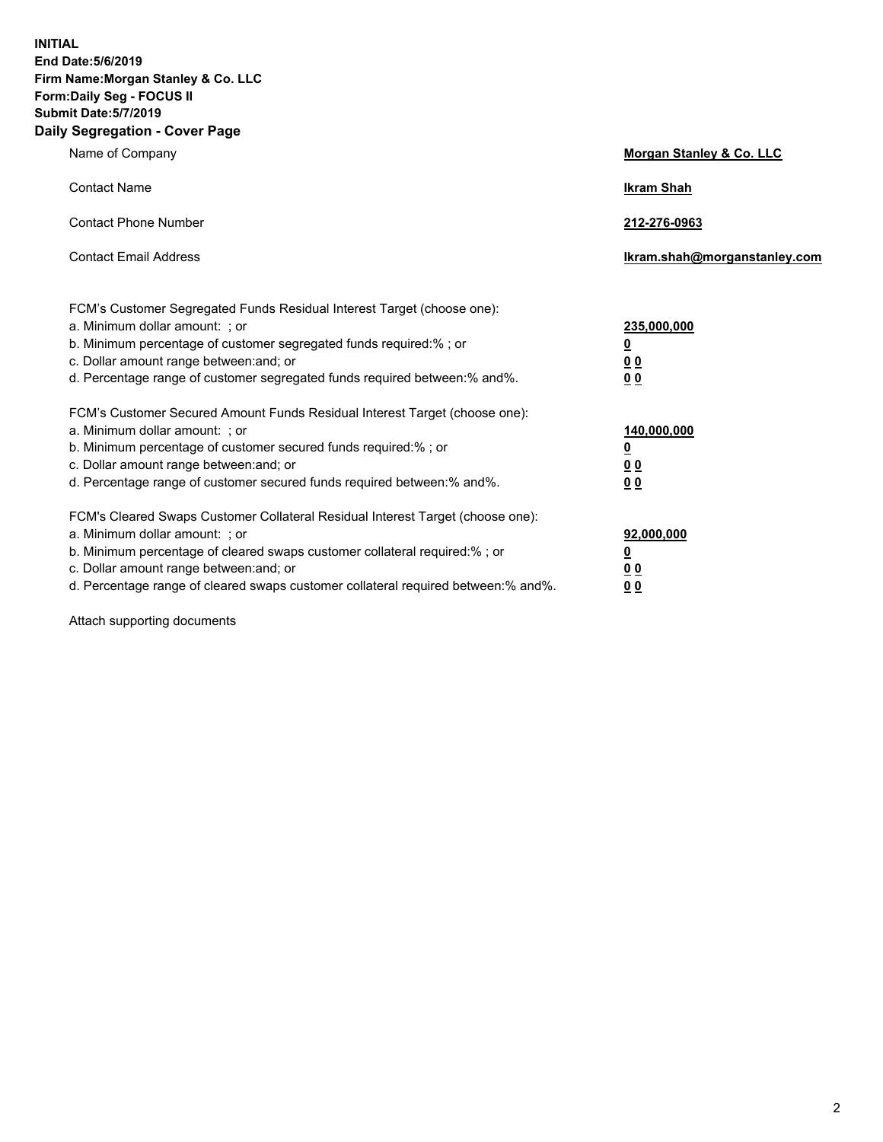**INITIAL End Date:5/6/2019 Firm Name:Morgan Stanley & Co. LLC Form:Daily Seg - FOCUS II Submit Date:5/7/2019 Daily Segregation - Cover Page**

| Name of Company                                                                                                                                                                                                                                                                                                                | Morgan Stanley & Co. LLC                        |
|--------------------------------------------------------------------------------------------------------------------------------------------------------------------------------------------------------------------------------------------------------------------------------------------------------------------------------|-------------------------------------------------|
| <b>Contact Name</b>                                                                                                                                                                                                                                                                                                            | <b>Ikram Shah</b>                               |
| <b>Contact Phone Number</b>                                                                                                                                                                                                                                                                                                    | 212-276-0963                                    |
| <b>Contact Email Address</b>                                                                                                                                                                                                                                                                                                   | Ikram.shah@morganstanley.com                    |
| FCM's Customer Segregated Funds Residual Interest Target (choose one):<br>a. Minimum dollar amount: ; or<br>b. Minimum percentage of customer segregated funds required:% ; or<br>c. Dollar amount range between: and; or<br>d. Percentage range of customer segregated funds required between:% and%.                         | 235,000,000<br><u>0</u><br><u>00</u><br>00      |
| FCM's Customer Secured Amount Funds Residual Interest Target (choose one):<br>a. Minimum dollar amount: ; or<br>b. Minimum percentage of customer secured funds required:% ; or<br>c. Dollar amount range between: and; or<br>d. Percentage range of customer secured funds required between: % and %.                         | 140,000,000<br><u>0</u><br>0 <sub>0</sub><br>00 |
| FCM's Cleared Swaps Customer Collateral Residual Interest Target (choose one):<br>a. Minimum dollar amount: ; or<br>b. Minimum percentage of cleared swaps customer collateral required:% ; or<br>c. Dollar amount range between: and; or<br>d. Percentage range of cleared swaps customer collateral required between:% and%. | 92,000,000<br><u>0</u><br>0 Q<br>0 <sub>0</sub> |

Attach supporting documents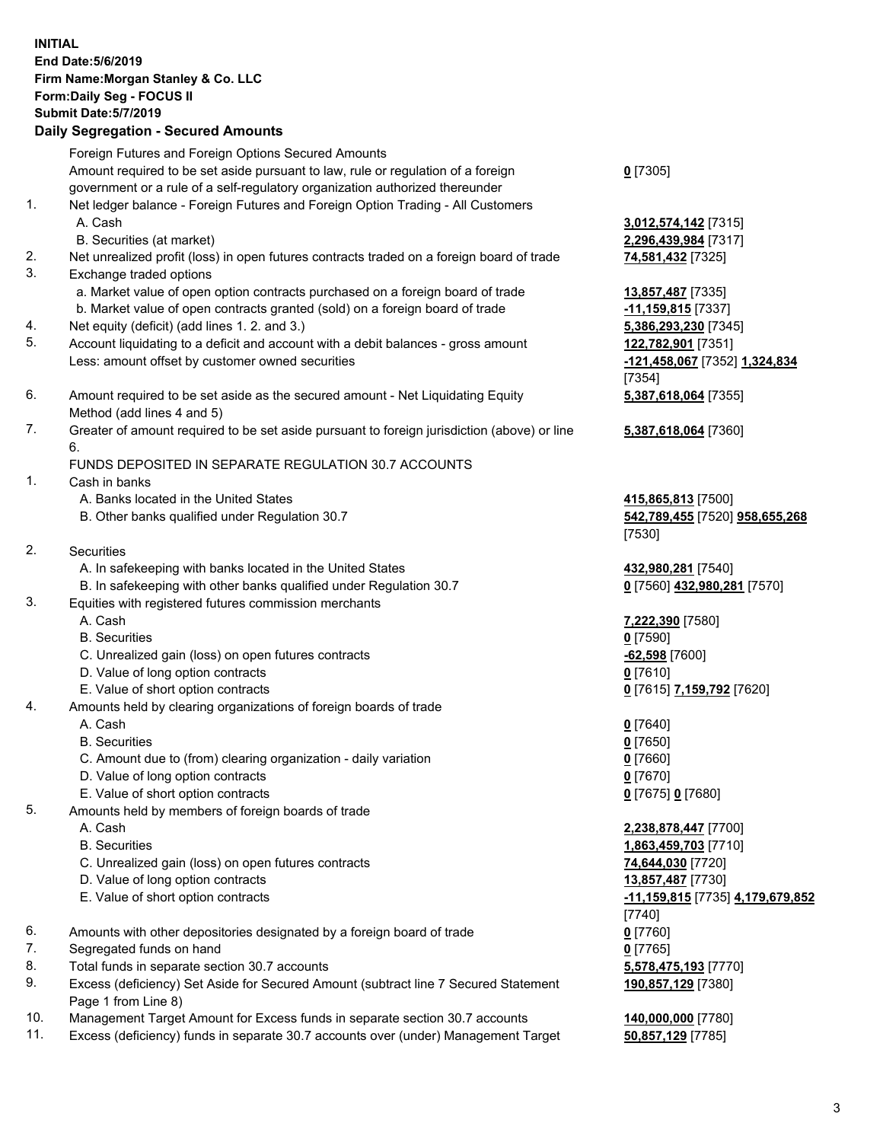|          | <b>INITIAL</b><br>End Date: 5/6/2019<br>Firm Name: Morgan Stanley & Co. LLC<br>Form: Daily Seg - FOCUS II<br><b>Submit Date: 5/7/2019</b>                                                                                                                                                                  |                                                                                                                                      |
|----------|------------------------------------------------------------------------------------------------------------------------------------------------------------------------------------------------------------------------------------------------------------------------------------------------------------|--------------------------------------------------------------------------------------------------------------------------------------|
|          | <b>Daily Segregation - Secured Amounts</b>                                                                                                                                                                                                                                                                 |                                                                                                                                      |
| 1.       | Foreign Futures and Foreign Options Secured Amounts<br>Amount required to be set aside pursuant to law, rule or regulation of a foreign<br>government or a rule of a self-regulatory organization authorized thereunder<br>Net ledger balance - Foreign Futures and Foreign Option Trading - All Customers | $0$ [7305]                                                                                                                           |
|          | A. Cash<br>B. Securities (at market)                                                                                                                                                                                                                                                                       | 3,012,574,142 <sub>[7315]</sub><br>2,296,439,984 [7317]                                                                              |
| 2.<br>3. | Net unrealized profit (loss) in open futures contracts traded on a foreign board of trade<br>Exchange traded options                                                                                                                                                                                       | 74,581,432 [7325]                                                                                                                    |
| 4.       | a. Market value of open option contracts purchased on a foreign board of trade<br>b. Market value of open contracts granted (sold) on a foreign board of trade<br>Net equity (deficit) (add lines 1.2. and 3.)                                                                                             | 13,857,487 [7335]<br>-11,159,815 [7337]<br>5,386,293,230 [7345]                                                                      |
| 5.       | Account liquidating to a deficit and account with a debit balances - gross amount<br>Less: amount offset by customer owned securities                                                                                                                                                                      | 122,782,901 [7351]<br>-121,458,067 [7352] 1,324,834<br>[7354]                                                                        |
| 6.       | Amount required to be set aside as the secured amount - Net Liquidating Equity<br>Method (add lines 4 and 5)                                                                                                                                                                                               | 5,387,618,064 [7355]                                                                                                                 |
| 7.       | Greater of amount required to be set aside pursuant to foreign jurisdiction (above) or line<br>6.                                                                                                                                                                                                          | 5,387,618,064 [7360]                                                                                                                 |
| 1.       | FUNDS DEPOSITED IN SEPARATE REGULATION 30.7 ACCOUNTS<br>Cash in banks<br>A. Banks located in the United States                                                                                                                                                                                             | 415,865,813 [7500]                                                                                                                   |
| 2.       | B. Other banks qualified under Regulation 30.7<br>Securities                                                                                                                                                                                                                                               | 542,789,455 [7520] 958,655,268<br>[7530]                                                                                             |
|          | A. In safekeeping with banks located in the United States<br>B. In safekeeping with other banks qualified under Regulation 30.7                                                                                                                                                                            | 432,980,281 [7540]<br>0 [7560] 432,980,281 [7570]                                                                                    |
| 3.       | Equities with registered futures commission merchants<br>A. Cash<br><b>B.</b> Securities<br>C. Unrealized gain (loss) on open futures contracts<br>D. Value of long option contracts                                                                                                                       | 7,222,390 [7580]<br>$0$ [7590]<br>$-62,598$ [7600]<br>$0$ [7610]                                                                     |
| 4.       | E. Value of short option contracts<br>Amounts held by clearing organizations of foreign boards of trade<br>A. Cash<br><b>B.</b> Securities<br>C. Amount due to (from) clearing organization - daily variation<br>D. Value of long option contracts                                                         | 0 [7615] 7,159,792 [7620]<br>$0$ [7640]<br>$0$ [7650]<br>$0$ [7660]                                                                  |
| 5.       | E. Value of short option contracts<br>Amounts held by members of foreign boards of trade                                                                                                                                                                                                                   | $0$ [7670]<br>0 [7675] 0 [7680]                                                                                                      |
|          | A. Cash<br><b>B.</b> Securities<br>C. Unrealized gain (loss) on open futures contracts<br>D. Value of long option contracts<br>E. Value of short option contracts                                                                                                                                          | 2,238,878,447 [7700]<br>1,863,459,703 [7710]<br>74,644,030 [7720]<br>13,857,487 [7730]<br>-11,159,815 [7735] 4,179,679,852<br>[7740] |
| 6.       | Amounts with other depositories designated by a foreign board of trade                                                                                                                                                                                                                                     | $0$ [7760]                                                                                                                           |
| 7.<br>8. | Segregated funds on hand<br>Total funds in separate section 30.7 accounts                                                                                                                                                                                                                                  | $0$ [7765]<br>5,578,475,193 [7770]                                                                                                   |
| 9.       | Excess (deficiency) Set Aside for Secured Amount (subtract line 7 Secured Statement<br>Page 1 from Line 8)                                                                                                                                                                                                 | 190,857,129 [7380]                                                                                                                   |
|          |                                                                                                                                                                                                                                                                                                            |                                                                                                                                      |

- 10. Management Target Amount for Excess funds in separate section 30.7 accounts **140,000,000** [7780]
- 11. Excess (deficiency) funds in separate 30.7 accounts over (under) Management Target **50,857,129** [7785]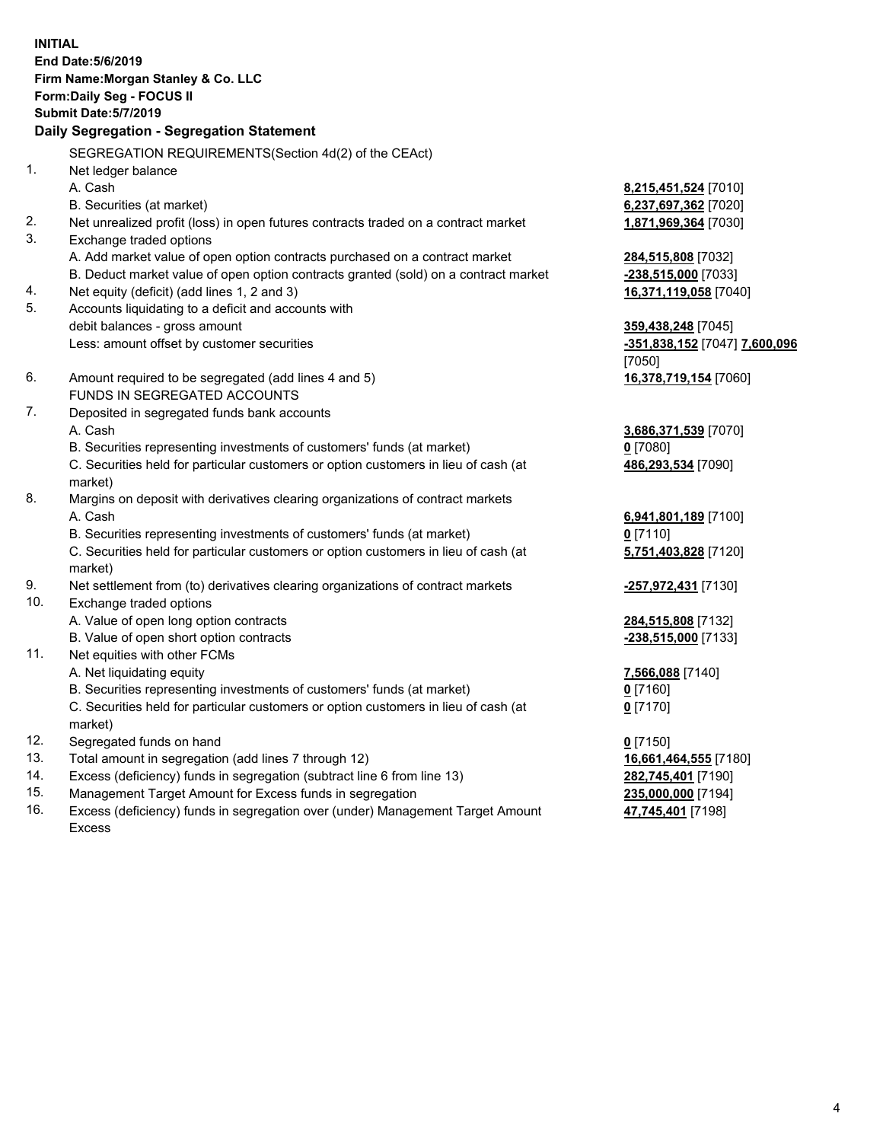**INITIAL End Date:5/6/2019 Firm Name:Morgan Stanley & Co. LLC Form:Daily Seg - FOCUS II Submit Date:5/7/2019 Daily Segregation - Segregation Statement** SEGREGATION REQUIREMENTS(Section 4d(2) of the CEAct) 1. Net ledger balance A. Cash **8,215,451,524** [7010] B. Securities (at market) **6,237,697,362** [7020] 2. Net unrealized profit (loss) in open futures contracts traded on a contract market **1,871,969,364** [7030] 3. Exchange traded options A. Add market value of open option contracts purchased on a contract market **284,515,808** [7032] B. Deduct market value of open option contracts granted (sold) on a contract market **-238,515,000** [7033] 4. Net equity (deficit) (add lines 1, 2 and 3) **16,371,119,058** [7040] 5. Accounts liquidating to a deficit and accounts with debit balances - gross amount **359,438,248** [7045] Less: amount offset by customer securities **-351,838,152** [7047] **7,600,096** [7050] 6. Amount required to be segregated (add lines 4 and 5) **16,378,719,154** [7060] FUNDS IN SEGREGATED ACCOUNTS 7. Deposited in segregated funds bank accounts A. Cash **3,686,371,539** [7070] B. Securities representing investments of customers' funds (at market) **0** [7080] C. Securities held for particular customers or option customers in lieu of cash (at market) **486,293,534** [7090] 8. Margins on deposit with derivatives clearing organizations of contract markets A. Cash **6,941,801,189** [7100] B. Securities representing investments of customers' funds (at market) **0** [7110] C. Securities held for particular customers or option customers in lieu of cash (at market) **5,751,403,828** [7120] 9. Net settlement from (to) derivatives clearing organizations of contract markets **-257,972,431** [7130] 10. Exchange traded options A. Value of open long option contracts **284,515,808** [7132] B. Value of open short option contracts **-238,515,000** [7133] 11. Net equities with other FCMs A. Net liquidating equity **7,566,088** [7140] B. Securities representing investments of customers' funds (at market) **0** [7160] C. Securities held for particular customers or option customers in lieu of cash (at market) **0** [7170] 12. Segregated funds on hand **0** [7150] 13. Total amount in segregation (add lines 7 through 12) **16,661,464,555** [7180] 14. Excess (deficiency) funds in segregation (subtract line 6 from line 13) **282,745,401** [7190]

- 15. Management Target Amount for Excess funds in segregation **235,000,000** [7194]
- 16. Excess (deficiency) funds in segregation over (under) Management Target Amount Excess

**47,745,401** [7198]